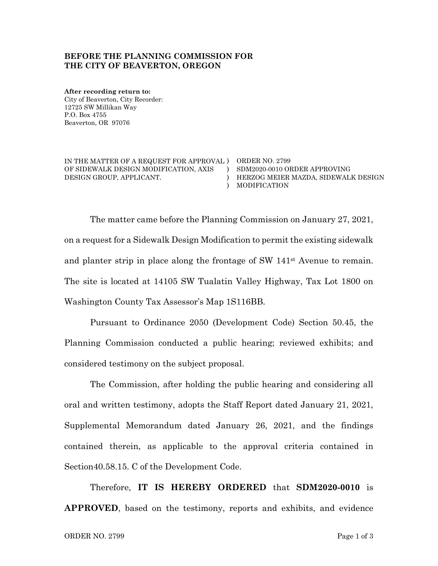### **BEFORE THE PLANNING COMMISSION FOR THE CITY OF BEAVERTON, OREGON**

**After recording return to:** City of Beaverton, City Recorder: 12725 SW Millikan Way P.O. Box 4755 Beaverton, OR 97076

IN THE MATTER OF A REQUEST FOR APPROVAL ) ORDER NO. 2799 OF SIDEWALK DESIGN MODIFICATION, AXIS DESIGN GROUP, APPLICANT.

) SDM2020-0010 ORDER APPROVING ) MODIFICATION HERZOG MEIER MAZDA, SIDEWALK DESIGN

The matter came before the Planning Commission on January 27, 2021, on a request for a Sidewalk Design Modification to permit the existing sidewalk and planter strip in place along the frontage of SW 141st Avenue to remain. The site is located at 14105 SW Tualatin Valley Highway, Tax Lot 1800 on Washington County Tax Assessor's Map 1S116BB.

)

Pursuant to Ordinance 2050 (Development Code) Section 50.45, the Planning Commission conducted a public hearing; reviewed exhibits; and considered testimony on the subject proposal.

The Commission, after holding the public hearing and considering all oral and written testimony, adopts the Staff Report dated January 21, 2021, Supplemental Memorandum dated January 26, 2021, and the findings contained therein, as applicable to the approval criteria contained in Section40.58.15. C of the Development Code.

Therefore, **IT IS HEREBY ORDERED** that **SDM2020-0010** is **APPROVED**, based on the testimony, reports and exhibits, and evidence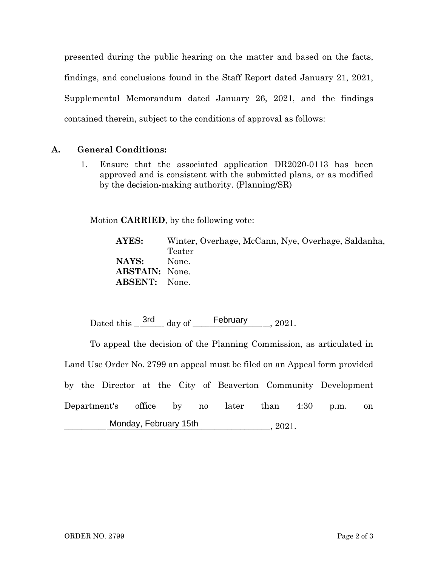presented during the public hearing on the matter and based on the facts, findings, and conclusions found in the Staff Report dated January 21, 2021, Supplemental Memorandum dated January 26, 2021, and the findings contained therein, subject to the conditions of approval as follows:

## **A. General Conditions:**

1. Ensure that the associated application DR2020-0113 has been approved and is consistent with the submitted plans, or as modified by the decision-making authority. (Planning/SR)

Motion **CARRIED**, by the following vote:

**AYES:** Winter, Overhage, McCann, Nye, Overhage, Saldanha, Teater **NAYS:** None. **ABSTAIN:** None. **ABSENT:** None.

Dated this  $\frac{3rd}{1}$  day of February 2021.

To appeal the decision of the Planning Commission, as articulated in Land Use Order No. 2799 an appeal must be filed on an Appeal form provided by the Director at the City of Beaverton Community Development Department's office by no later than 4:30 p.m. on \_\_\_\_\_\_\_\_\_\_\_\_\_\_\_\_\_\_\_\_\_\_\_\_\_\_\_\_\_\_\_\_\_\_\_\_\_\_\_\_\_\_\_\_\_\_\_\_, 2021. Monday, February 15th